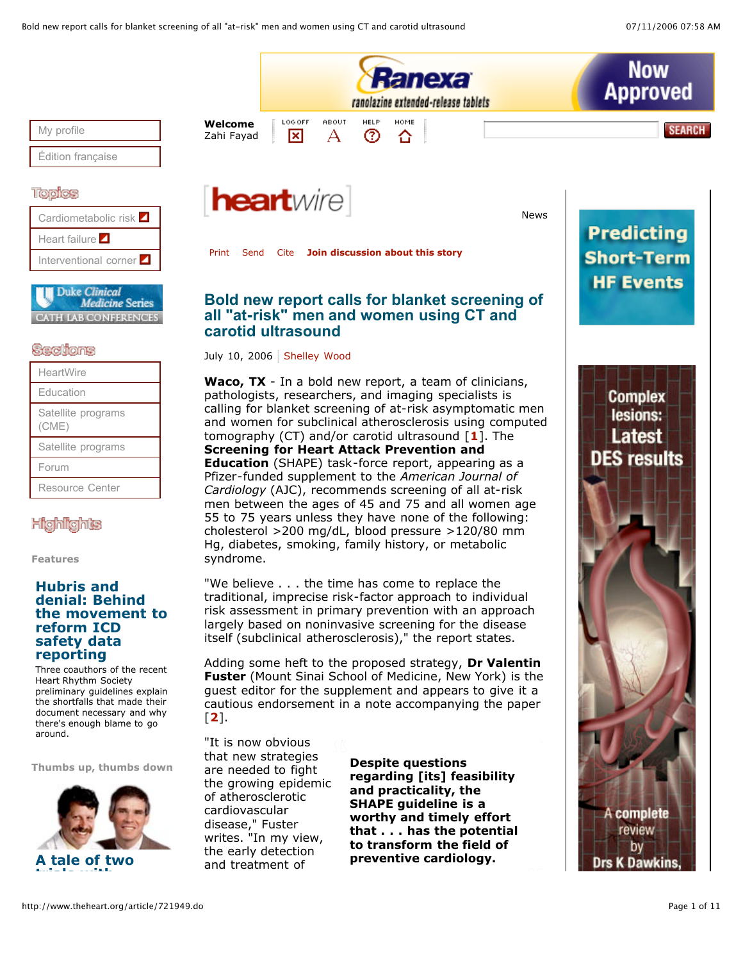

**Thumbs up, thumbs down**

are needed to fight the growing epidemic of atherosclerotic cardiovascular disease," Fuster writes. "In my view, the early detection and treatment of



**Despite questions regarding [its] feasibility and practicality, the SHAPE guideline is a worthy and timely effort that . . . has the potential to transform the field of preventive cardiology.**

complete review by **K** Dawkins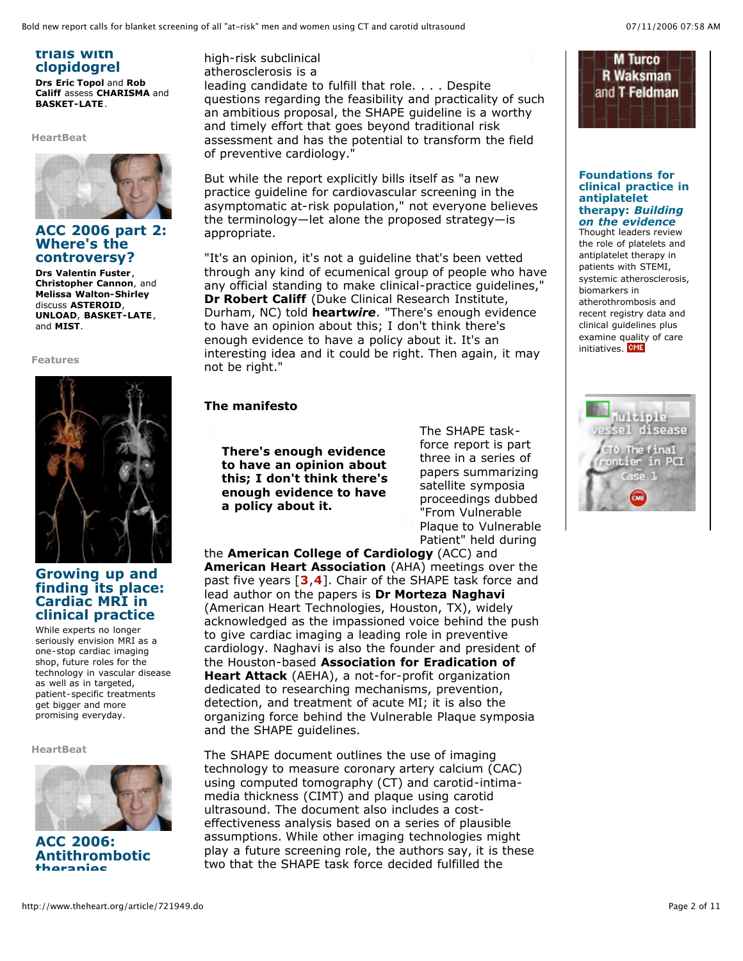**trials with clopidogrel**

**Drs Eric Topol** and **Rob Califf** assess **CHARISMA** and **BASKET-LATE**.

**HeartBeat**



## **ACC 2006 part 2: Where's the controversy?**

**Drs Valentin Fuster**, **Christopher Cannon**, and **Melissa Walton-Shirley** discuss **ASTEROID**, **UNLOAD**, **BASKET-LATE**, and **MIST**.

**Features**



# **Growing up and finding its place: Cardiac MRI in clinical practice**

While experts no longer seriously envision MRI as a one-stop cardiac imaging shop, future roles for the technology in vascular disease as well as in targeted, patient-specific treatments get bigger and more promising everyday.

**HeartBeat**



**ACC 2006: Antithrombotic therapies**

high-risk subclinical atherosclerosis is a leading candidate to fulfill that role. . . . Despite questions regarding the feasibility and practicality of such an ambitious proposal, the SHAPE guideline is a worthy and timely effort that goes beyond traditional risk assessment and has the potential to transform the field of preventive cardiology."

But while the report explicitly bills itself as "a new practice guideline for cardiovascular screening in the asymptomatic at-risk population," not everyone believes the terminology—let alone the proposed strategy—is appropriate.

"It's an opinion, it's not a guideline that's been vetted through any kind of ecumenical group of people who have any official standing to make clinical-practice guidelines," **Dr Robert Califf** (Duke Clinical Research Institute, Durham, NC) told **heart***wire*. "There's enough evidence to have an opinion about this; I don't think there's enough evidence to have a policy about it. It's an interesting idea and it could be right. Then again, it may not be right."

## **The manifesto**

**There's enough evidence to have an opinion about this; I don't think there's enough evidence to have a policy about it.**

The SHAPE taskforce report is part three in a series of papers summarizing satellite symposia proceedings dubbed "From Vulnerable Plaque to Vulnerable Patient" held during

the **American College of Cardiology** (ACC) and **American Heart Association** (AHA) meetings over the past five years [**3**,**4**]. Chair of the SHAPE task force and lead author on the papers is **Dr Morteza Naghavi** (American Heart Technologies, Houston, TX), widely acknowledged as the impassioned voice behind the push to give cardiac imaging a leading role in preventive cardiology. Naghavi is also the founder and president of the Houston-based **Association for Eradication of Heart Attack** (AEHA), a not-for-profit organization dedicated to researching mechanisms, prevention, detection, and treatment of acute MI; it is also the organizing force behind the Vulnerable Plaque symposia and the SHAPE guidelines.

The SHAPE document outlines the use of imaging technology to measure coronary artery calcium (CAC) using computed tomography (CT) and carotid-intimamedia thickness (CIMT) and plaque using carotid ultrasound. The document also includes a costeffectiveness analysis based on a series of plausible assumptions. While other imaging technologies might play a future screening role, the authors say, it is these two that the SHAPE task force decided fulfilled the



**Foundations for clinical practice in antiplatelet therapy:** *Building on the evidence*

Thought leaders review the role of platelets and antiplatelet therapy in patients with STEMI, systemic atherosclerosis, biomarkers in atherothrombosis and recent registry data and clinical guidelines plus examine quality of care initiatives. **CME** 

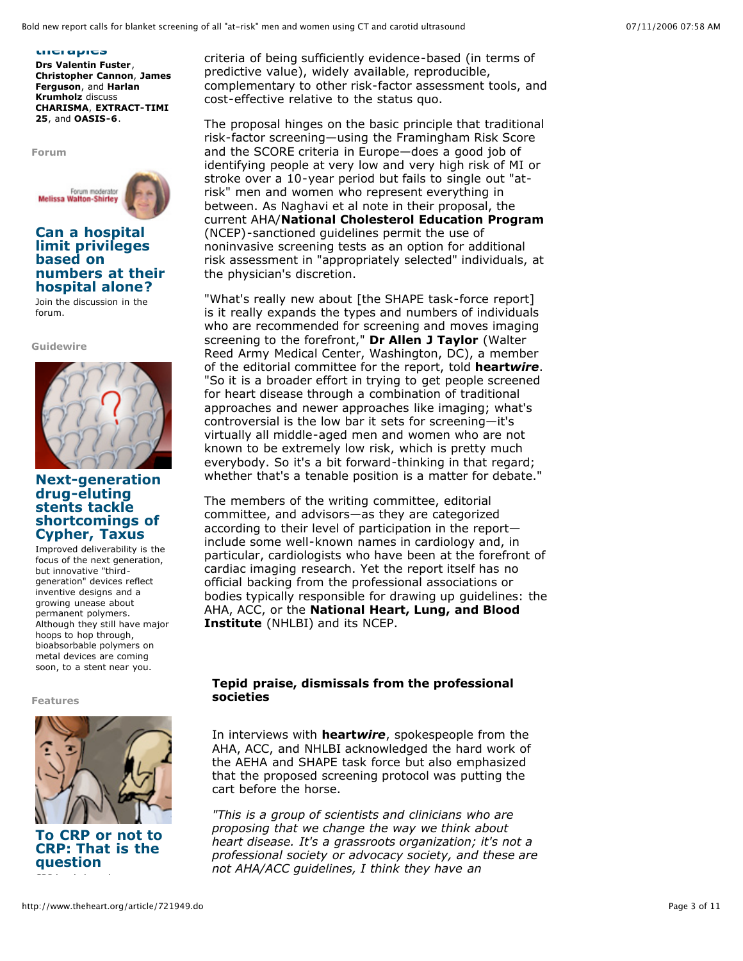#### **therapies**

**Drs Valentin Fuster**, **Christopher Cannon**, **James Ferguson**, and **Harlan Krumholz** discuss **CHARISMA**, **EXTRACT-TIMI 25**, and **OASIS-6**.

**Forum**



## **Can a hospital limit privileges based on numbers at their hospital alone?**

Join the discussion in the forum.

**Guidewire**



# **Next-generation drug-eluting stents tackle shortcomings of Cypher, Taxus**

Improved deliverability is the focus of the next generation, but innovative "thirdgeneration" devices reflect inventive designs and a growing unease about permanent polymers. Although they still have major hoops to hop through, bioabsorbable polymers on metal devices are coming soon, to a stent near you.

**Features**



**To CRP or not to CRP: That is the question** CRP levels have been proven

criteria of being sufficiently evidence-based (in terms of predictive value), widely available, reproducible, complementary to other risk-factor assessment tools, and cost-effective relative to the status quo.

The proposal hinges on the basic principle that traditional risk-factor screening—using the Framingham Risk Score and the SCORE criteria in Europe—does a good job of identifying people at very low and very high risk of MI or stroke over a 10-year period but fails to single out "atrisk" men and women who represent everything in between. As Naghavi et al note in their proposal, the current AHA/**National Cholesterol Education Program** (NCEP)-sanctioned guidelines permit the use of noninvasive screening tests as an option for additional risk assessment in "appropriately selected" individuals, at the physician's discretion.

"What's really new about [the SHAPE task-force report] is it really expands the types and numbers of individuals who are recommended for screening and moves imaging screening to the forefront," **Dr Allen J Taylor** (Walter Reed Army Medical Center, Washington, DC), a member of the editorial committee for the report, told **heart***wire*. "So it is a broader effort in trying to get people screened for heart disease through a combination of traditional approaches and newer approaches like imaging; what's controversial is the low bar it sets for screening—it's virtually all middle-aged men and women who are not known to be extremely low risk, which is pretty much everybody. So it's a bit forward-thinking in that regard; whether that's a tenable position is a matter for debate."

The members of the writing committee, editorial committee, and advisors—as they are categorized according to their level of participation in the report include some well-known names in cardiology and, in particular, cardiologists who have been at the forefront of cardiac imaging research. Yet the report itself has no official backing from the professional associations or bodies typically responsible for drawing up guidelines: the AHA, ACC, or the **National Heart, Lung, and Blood Institute** (NHLBI) and its NCEP.

# **Tepid praise, dismissals from the professional societies**

In interviews with **heart***wire*, spokespeople from the AHA, ACC, and NHLBI acknowledged the hard work of the AEHA and SHAPE task force but also emphasized that the proposed screening protocol was putting the cart before the horse.

*"This is a group of scientists and clinicians who are proposing that we change the way we think about heart disease. It's a grassroots organization; it's not a professional society or advocacy society, and these are not AHA/ACC guidelines, I think they have an*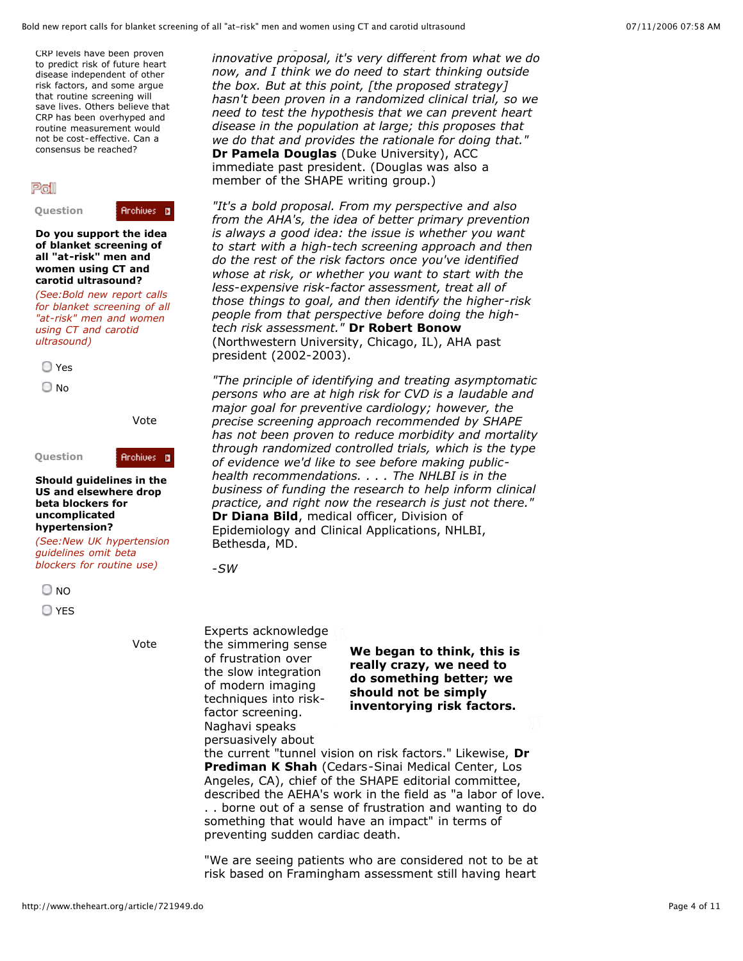CRP levels have been proven to predict risk of future heart disease independent of other risk factors, and some argue that routine screening will save lives. Others believe that CRP has been overhyped and routine measurement would not be cost-effective. Can a consensus be reached?

## Poll

**Question**

**Archives D** 

**Do you support the idea of blanket screening of all "at-risk" men and women using CT and carotid ultrasound?**

*(See:Bold new report calls for blanket screening of all "at-risk" men and women using CT and carotid ultrasound)*



O No

Vote

**Archives D** 

**Question**

**Should guidelines in the US and elsewhere drop beta blockers for uncomplicated hypertension?**

*(See:New UK hypertension guidelines omit beta blockers for routine use)*

 $\bigcirc$  NO

YES

*innovative proposal, it's very different from what we do now, and I think we do need to start thinking outside the box. But at this point, [the proposed strategy] hasn't been proven in a randomized clinical trial, so we need to test the hypothesis that we can prevent heart disease in the population at large; this proposes that we do that and provides the rationale for doing that."* **Dr Pamela Douglas** (Duke University), ACC immediate past president. (Douglas was also a member of the SHAPE writing group.)

*"It's a bold proposal. From my perspective and also from the AHA's, the idea of better primary prevention is always a good idea: the issue is whether you want to start with a high-tech screening approach and then do the rest of the risk factors once you've identified whose at risk, or whether you want to start with the less-expensive risk-factor assessment, treat all of those things to goal, and then identify the higher-risk people from that perspective before doing the hightech risk assessment."* **Dr Robert Bonow** (Northwestern University, Chicago, IL), AHA past president (2002-2003).

*"The principle of identifying and treating asymptomatic persons who are at high risk for CVD is a laudable and major goal for preventive cardiology; however, the precise screening approach recommended by SHAPE has not been proven to reduce morbidity and mortality through randomized controlled trials, which is the type of evidence we'd like to see before making publichealth recommendations. . . . The NHLBI is in the business of funding the research to help inform clinical practice, and right now the research is just not there."* **Dr Diana Bild**, medical officer, Division of Epidemiology and Clinical Applications, NHLBI, Bethesda, MD.

-*SW*

Vote **We began to think, this is** Experts acknowledge the simmering sense of frustration over the slow integration of modern imaging techniques into riskfactor screening. Naghavi speaks

**really crazy, we need to do something better; we should not be simply inventorying risk factors.**

persuasively about the current "tunnel vision on risk factors." Likewise, **Dr Prediman K Shah** (Cedars-Sinai Medical Center, Los Angeles, CA), chief of the SHAPE editorial committee, described the AEHA's work in the field as "a labor of love. . . borne out of a sense of frustration and wanting to do something that would have an impact" in terms of preventing sudden cardiac death.

"We are seeing patients who are considered not to be at risk based on Framingham assessment still having heart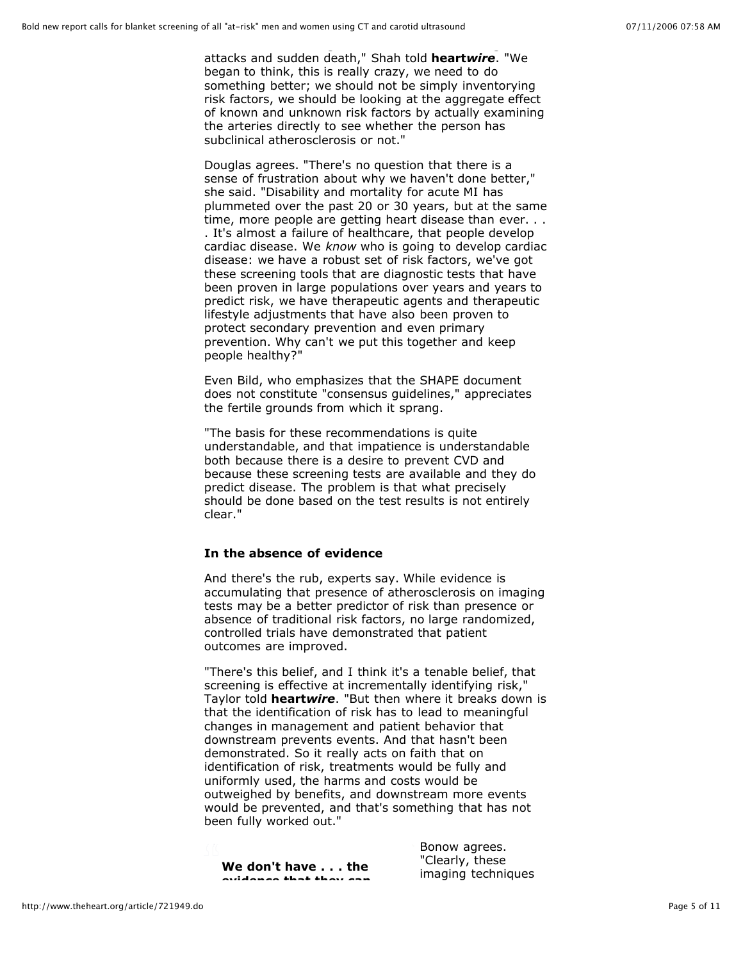attacks and sudden death," Shah told **heart***wire*. "We began to think, this is really crazy, we need to do something better; we should not be simply inventorying risk factors, we should be looking at the aggregate effect of known and unknown risk factors by actually examining the arteries directly to see whether the person has subclinical atherosclerosis or not."

Douglas agrees. "There's no question that there is a sense of frustration about why we haven't done better," she said. "Disability and mortality for acute MI has plummeted over the past 20 or 30 years, but at the same time, more people are getting heart disease than ever. . . . It's almost a failure of healthcare, that people develop cardiac disease. We *know* who is going to develop cardiac disease: we have a robust set of risk factors, we've got these screening tools that are diagnostic tests that have been proven in large populations over years and years to predict risk, we have therapeutic agents and therapeutic lifestyle adjustments that have also been proven to protect secondary prevention and even primary prevention. Why can't we put this together and keep people healthy?"

Even Bild, who emphasizes that the SHAPE document does not constitute "consensus guidelines," appreciates the fertile grounds from which it sprang.

"The basis for these recommendations is quite understandable, and that impatience is understandable both because there is a desire to prevent CVD and because these screening tests are available and they do predict disease. The problem is that what precisely should be done based on the test results is not entirely clear."

### **In the absence of evidence**

And there's the rub, experts say. While evidence is accumulating that presence of atherosclerosis on imaging tests may be a better predictor of risk than presence or absence of traditional risk factors, no large randomized, controlled trials have demonstrated that patient outcomes are improved.

"There's this belief, and I think it's a tenable belief, that screening is effective at incrementally identifying risk," Taylor told **heart***wire*. "But then where it breaks down is that the identification of risk has to lead to meaningful changes in management and patient behavior that downstream prevents events. And that hasn't been demonstrated. So it really acts on faith that on identification of risk, treatments would be fully and uniformly used, the harms and costs would be outweighed by benefits, and downstream more events would be prevented, and that's something that has not been fully worked out."

**We don't have . . . the evidence that they can**

Bonow agrees. "Clearly, these imaging techniques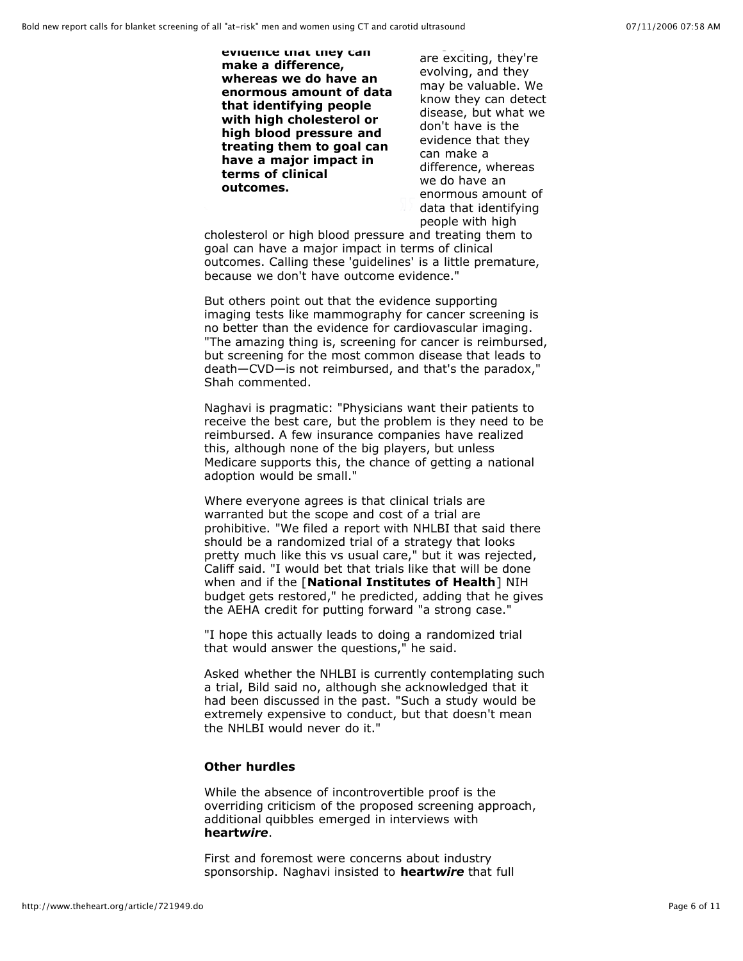**evidence that they can make a difference, whereas we do have an enormous amount of data that identifying people with high cholesterol or high blood pressure and treating them to goal can have a major impact in terms of clinical outcomes.**

are exciting, they're evolving, and they may be valuable. We know they can detect disease, but what we don't have is the evidence that they can make a difference, whereas we do have an enormous amount of data that identifying people with high

cholesterol or high blood pressure and treating them to goal can have a major impact in terms of clinical outcomes. Calling these 'guidelines' is a little premature, because we don't have outcome evidence."

But others point out that the evidence supporting imaging tests like mammography for cancer screening is no better than the evidence for cardiovascular imaging. "The amazing thing is, screening for cancer is reimbursed, but screening for the most common disease that leads to death—CVD—is not reimbursed, and that's the paradox," Shah commented.

Naghavi is pragmatic: "Physicians want their patients to receive the best care, but the problem is they need to be reimbursed. A few insurance companies have realized this, although none of the big players, but unless Medicare supports this, the chance of getting a national adoption would be small."

Where everyone agrees is that clinical trials are warranted but the scope and cost of a trial are prohibitive. "We filed a report with NHLBI that said there should be a randomized trial of a strategy that looks pretty much like this vs usual care," but it was rejected, Califf said. "I would bet that trials like that will be done when and if the [**National Institutes of Health**] NIH budget gets restored," he predicted, adding that he gives the AEHA credit for putting forward "a strong case."

"I hope this actually leads to doing a randomized trial that would answer the questions," he said.

Asked whether the NHLBI is currently contemplating such a trial, Bild said no, although she acknowledged that it had been discussed in the past. "Such a study would be extremely expensive to conduct, but that doesn't mean the NHLBI would never do it."

# **Other hurdles**

While the absence of incontrovertible proof is the overriding criticism of the proposed screening approach, additional quibbles emerged in interviews with **heart***wire*.

First and foremost were concerns about industry sponsorship. Naghavi insisted to **heart***wire* that full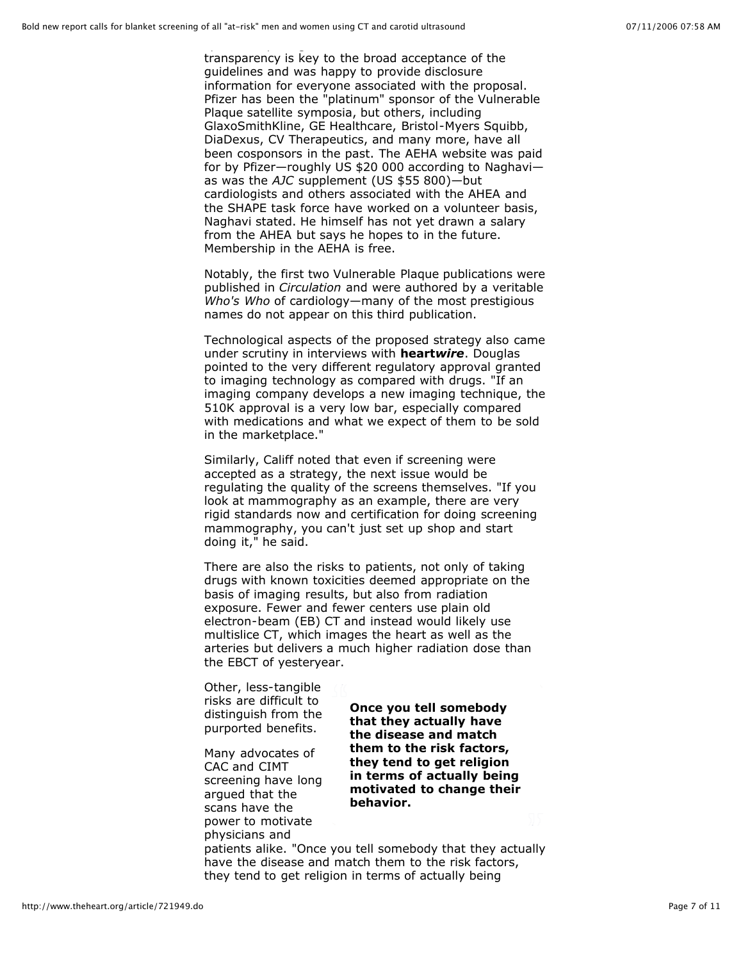transparency is key to the broad acceptance of the guidelines and was happy to provide disclosure information for everyone associated with the proposal. Pfizer has been the "platinum" sponsor of the Vulnerable Plaque satellite symposia, but others, including GlaxoSmithKline, GE Healthcare, Bristol-Myers Squibb, DiaDexus, CV Therapeutics, and many more, have all been cosponsors in the past. The AEHA website was paid for by Pfizer—roughly US \$20 000 according to Naghavi as was the *AJC* supplement (US \$55 800)—but cardiologists and others associated with the AHEA and the SHAPE task force have worked on a volunteer basis, Naghavi stated. He himself has not yet drawn a salary from the AHEA but says he hopes to in the future. Membership in the AEHA is free.

Notably, the first two Vulnerable Plaque publications were published in *Circulation* and were authored by a veritable *Who's Who* of cardiology—many of the most prestigious names do not appear on this third publication.

Technological aspects of the proposed strategy also came under scrutiny in interviews with **heart***wire*. Douglas pointed to the very different regulatory approval granted to imaging technology as compared with drugs. "If an imaging company develops a new imaging technique, the 510K approval is a very low bar, especially compared with medications and what we expect of them to be sold in the marketplace."

Similarly, Califf noted that even if screening were accepted as a strategy, the next issue would be regulating the quality of the screens themselves. "If you look at mammography as an example, there are very rigid standards now and certification for doing screening mammography, you can't just set up shop and start doing it," he said.

There are also the risks to patients, not only of taking drugs with known toxicities deemed appropriate on the basis of imaging results, but also from radiation exposure. Fewer and fewer centers use plain old electron-beam (EB) CT and instead would likely use multislice CT, which images the heart as well as the arteries but delivers a much higher radiation dose than the EBCT of yesteryear.

Other, less-tangible risks are difficult to distinguish from the purported benefits.

Many advocates of CAC and CIMT screening have long argued that the scans have the power to motivate physicians and

**Once you tell somebody that they actually have the disease and match them to the risk factors, they tend to get religion in terms of actually being motivated to change their behavior.**

patients alike. "Once you tell somebody that they actually have the disease and match them to the risk factors, they tend to get religion in terms of actually being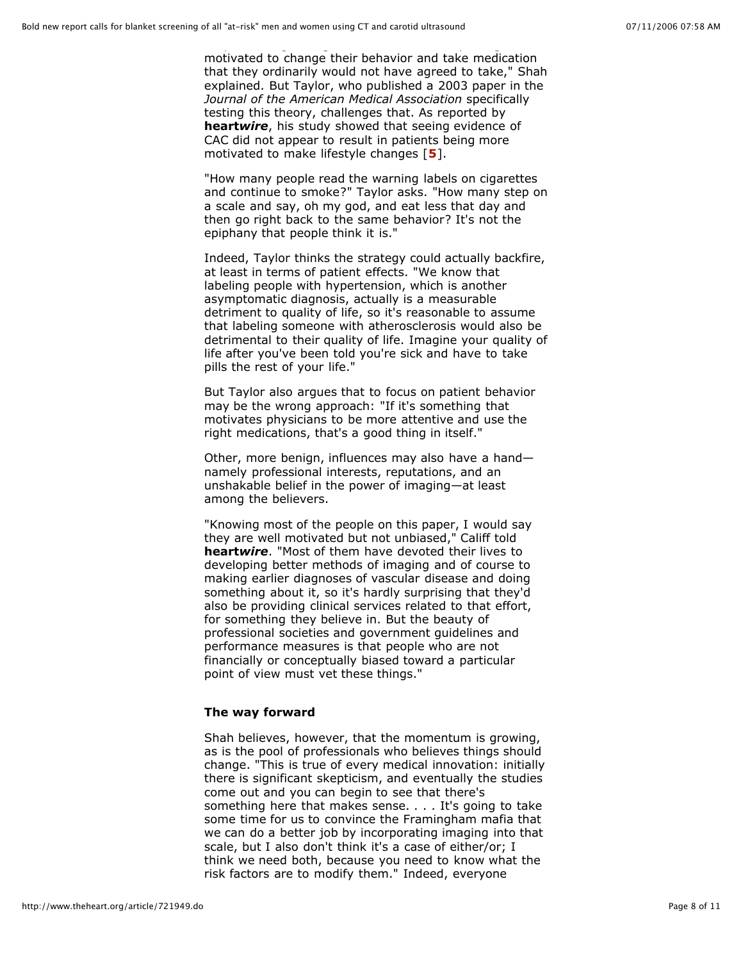motivated to change their behavior and take medication that they ordinarily would not have agreed to take," Shah explained. But Taylor, who published a 2003 paper in the *Journal of the American Medical Association* specifically testing this theory, challenges that. As reported by **heart***wire*, his study showed that seeing evidence of CAC did not appear to result in patients being more motivated to make lifestyle changes [**5**].

"How many people read the warning labels on cigarettes and continue to smoke?" Taylor asks. "How many step on a scale and say, oh my god, and eat less that day and then go right back to the same behavior? It's not the epiphany that people think it is."

Indeed, Taylor thinks the strategy could actually backfire, at least in terms of patient effects. "We know that labeling people with hypertension, which is another asymptomatic diagnosis, actually is a measurable detriment to quality of life, so it's reasonable to assume that labeling someone with atherosclerosis would also be detrimental to their quality of life. Imagine your quality of life after you've been told you're sick and have to take pills the rest of your life."

But Taylor also argues that to focus on patient behavior may be the wrong approach: "If it's something that motivates physicians to be more attentive and use the right medications, that's a good thing in itself."

Other, more benign, influences may also have a hand namely professional interests, reputations, and an unshakable belief in the power of imaging—at least among the believers.

"Knowing most of the people on this paper, I would say they are well motivated but not unbiased," Califf told **heart***wire*. "Most of them have devoted their lives to developing better methods of imaging and of course to making earlier diagnoses of vascular disease and doing something about it, so it's hardly surprising that they'd also be providing clinical services related to that effort, for something they believe in. But the beauty of professional societies and government guidelines and performance measures is that people who are not financially or conceptually biased toward a particular point of view must vet these things."

### **The way forward**

Shah believes, however, that the momentum is growing, as is the pool of professionals who believes things should change. "This is true of every medical innovation: initially there is significant skepticism, and eventually the studies come out and you can begin to see that there's something here that makes sense. . . . It's going to take some time for us to convince the Framingham mafia that we can do a better job by incorporating imaging into that scale, but I also don't think it's a case of either/or; I think we need both, because you need to know what the risk factors are to modify them." Indeed, everyone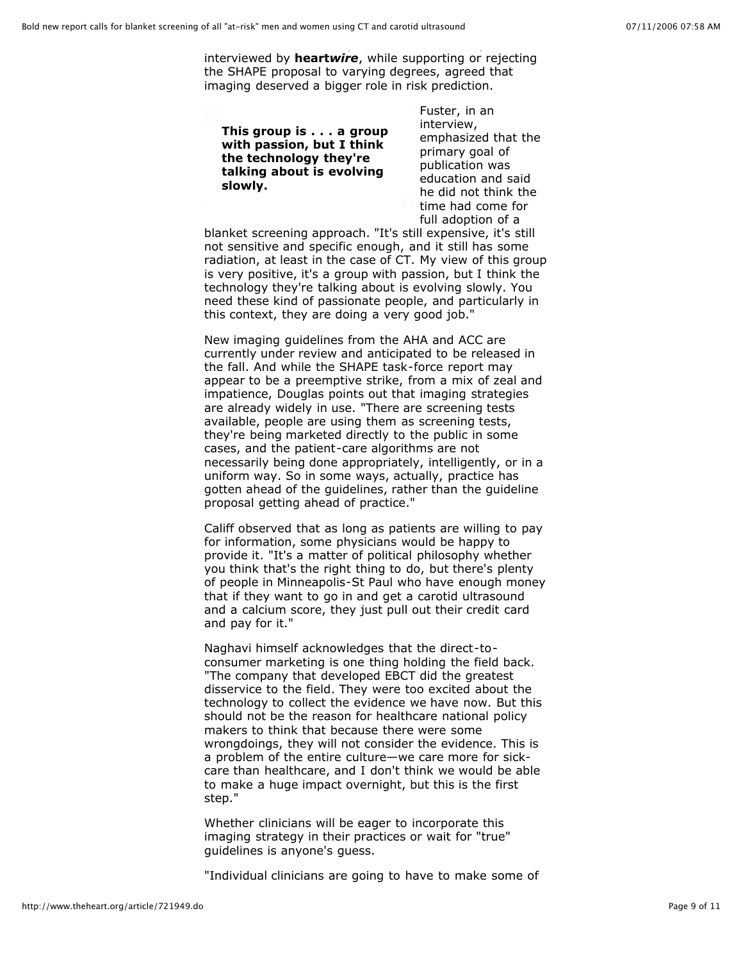interviewed by **heart***wire*, while supporting or rejecting the SHAPE proposal to varying degrees, agreed that imaging deserved a bigger role in risk prediction.

**This group is . . . a group with passion, but I think the technology they're talking about is evolving slowly.**

Fuster, in an interview, emphasized that the primary goal of publication was education and said he did not think the time had come for full adoption of a

blanket screening approach. "It's still expensive, it's still not sensitive and specific enough, and it still has some radiation, at least in the case of CT. My view of this group is very positive, it's a group with passion, but I think the technology they're talking about is evolving slowly. You need these kind of passionate people, and particularly in this context, they are doing a very good job."

New imaging guidelines from the AHA and ACC are currently under review and anticipated to be released in the fall. And while the SHAPE task-force report may appear to be a preemptive strike, from a mix of zeal and impatience, Douglas points out that imaging strategies are already widely in use. "There are screening tests available, people are using them as screening tests, they're being marketed directly to the public in some cases, and the patient-care algorithms are not necessarily being done appropriately, intelligently, or in a uniform way. So in some ways, actually, practice has gotten ahead of the guidelines, rather than the guideline proposal getting ahead of practice."

Califf observed that as long as patients are willing to pay for information, some physicians would be happy to provide it. "It's a matter of political philosophy whether you think that's the right thing to do, but there's plenty of people in Minneapolis-St Paul who have enough money that if they want to go in and get a carotid ultrasound and a calcium score, they just pull out their credit card and pay for it."

Naghavi himself acknowledges that the direct-toconsumer marketing is one thing holding the field back. "The company that developed EBCT did the greatest disservice to the field. They were too excited about the technology to collect the evidence we have now. But this should not be the reason for healthcare national policy makers to think that because there were some wrongdoings, they will not consider the evidence. This is a problem of the entire culture—we care more for sickcare than healthcare, and I don't think we would be able to make a huge impact overnight, but this is the first step."

Whether clinicians will be eager to incorporate this imaging strategy in their practices or wait for "true" guidelines is anyone's guess.

"Individual clinicians are going to have to make some of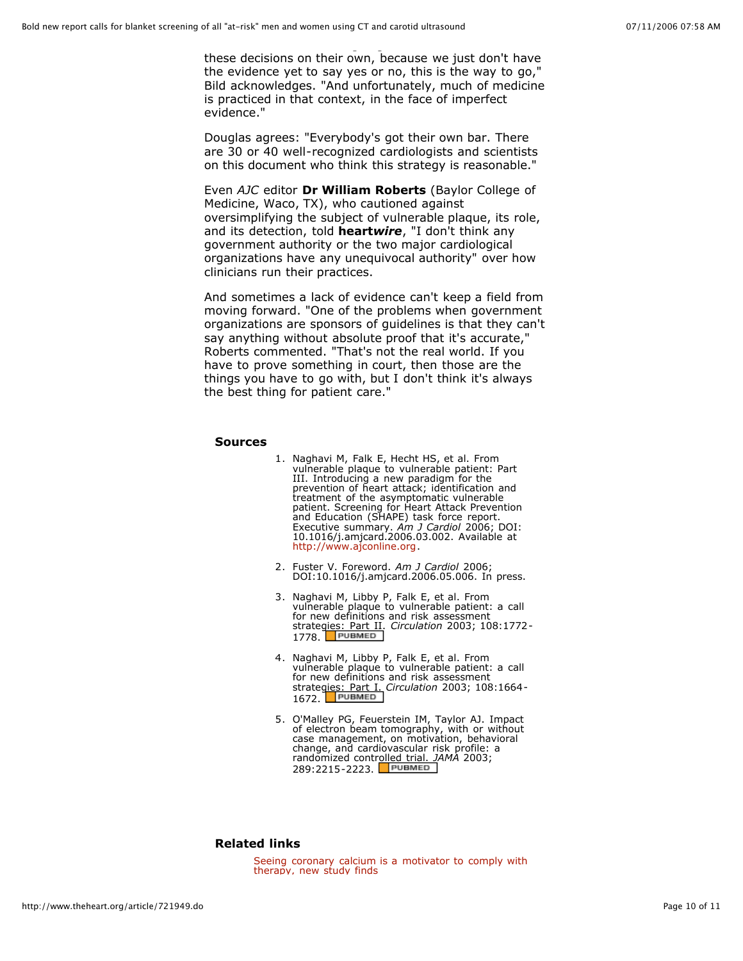these decisions on their own, because we just don't have the evidence yet to say yes or no, this is the way to go," Bild acknowledges. "And unfortunately, much of medicine is practiced in that context, in the face of imperfect evidence."

Douglas agrees: "Everybody's got their own bar. There are 30 or 40 well-recognized cardiologists and scientists on this document who think this strategy is reasonable."

Even *AJC* editor **Dr William Roberts** (Baylor College of Medicine, Waco, TX), who cautioned against oversimplifying the subject of vulnerable plaque, its role, and its detection, told **heart***wire*, "I don't think any government authority or the two major cardiological organizations have any unequivocal authority" over how clinicians run their practices.

And sometimes a lack of evidence can't keep a field from moving forward. "One of the problems when government organizations are sponsors of guidelines is that they can't say anything without absolute proof that it's accurate," Roberts commented. "That's not the real world. If you have to prove something in court, then those are the things you have to go with, but I don't think it's always the best thing for patient care."

#### **Sources**

- 1. Naghavi M, Falk E, Hecht HS, et al. From vulnerable plaque to vulnerable patient: Part III. Introducing a new paradigm for the prevention of heart attack; identification and treatment of the asymptomatic vulnerable patient. Screening for Heart Attack Prevention and Education (SHAPE) task force report. Executive summary. *Am J Cardiol* 2006; DOI: 10.1016/j.amjcard.2006.03.002. Available at http://www.ajconline.org.
- 2. Fuster V. Foreword. *Am J Cardiol* 2006; DOI:10.1016/j.amjcard.2006.05.006. In press.
- 3. Naghavi M, Libby P, Falk E, et al. From vulnerable plaque to vulnerable patient: a call for new definitions and risk assessment strategies: Part II. *Circulation* 2003; 108:1772- 1778. PUBMED
- 4. Naghavi M, Libby P, Falk E, et al. From vulnerable plaque to vulnerable patient: a call for new definitions and risk assessment strategies: Part I. *Circulation* 2003; 108:1664- 1672. PUBMED
- 5. O'Malley PG, Feuerstein IM, Taylor AJ. Impact of electron beam tomography, with or without case management, on motivation, behavioral change, and cardiovascular risk profile: a randomized controlled trial. *JAMA* 2003; 289:2215-2223.

### **Related links**

Seeing coronary calcium is a motivator to comply with therapy, new study finds